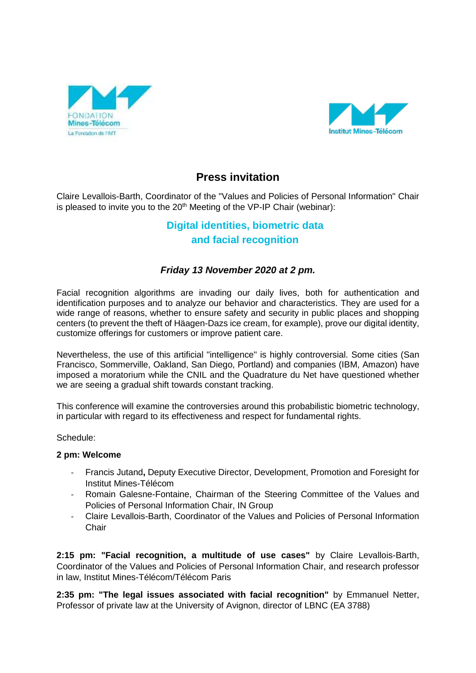



## **Press invitation**

Claire Levallois-Barth, Coordinator of the "Values and Policies of Personal Information" Chair is pleased to invite you to the  $20<sup>th</sup>$  Meeting of the VP-IP Chair (webinar):

# **Digital identities, biometric data and facial recognition**

### *Friday 13 November 2020 at 2 pm.*

Facial recognition algorithms are invading our daily lives, both for authentication and identification purposes and to analyze our behavior and characteristics. They are used for a wide range of reasons, whether to ensure safety and security in public places and shopping centers (to prevent the theft of Häagen-Dazs ice cream, for example), prove our digital identity, customize offerings for customers or improve patient care.

Nevertheless, the use of this artificial "intelligence" is highly controversial. Some cities (San Francisco, Sommerville, Oakland, San Diego, Portland) and companies (IBM, Amazon) have imposed a moratorium while the CNIL and the Quadrature du Net have questioned whether we are seeing a gradual shift towards constant tracking.

This conference will examine the controversies around this probabilistic biometric technology, in particular with regard to its effectiveness and respect for fundamental rights.

Schedule:

#### **2 pm: Welcome**

- Francis Jutand**,** Deputy Executive Director, Development, Promotion and Foresight for Institut Mines-Télécom
- Romain Galesne-Fontaine, Chairman of the Steering Committee of the Values and Policies of Personal Information Chair, IN Group
- Claire Levallois-Barth, Coordinator of the Values and Policies of Personal Information **Chair**

**2:15 pm: "Facial recognition, a multitude of use cases"** by Claire Levallois-Barth, Coordinator of the Values and Policies of Personal Information Chair, and research professor in law, Institut Mines-Télécom/Télécom Paris

**2:35 pm: "The legal issues associated with facial recognition"** by Emmanuel Netter, Professor of private law at the University of Avignon, director of LBNC (EA 3788)